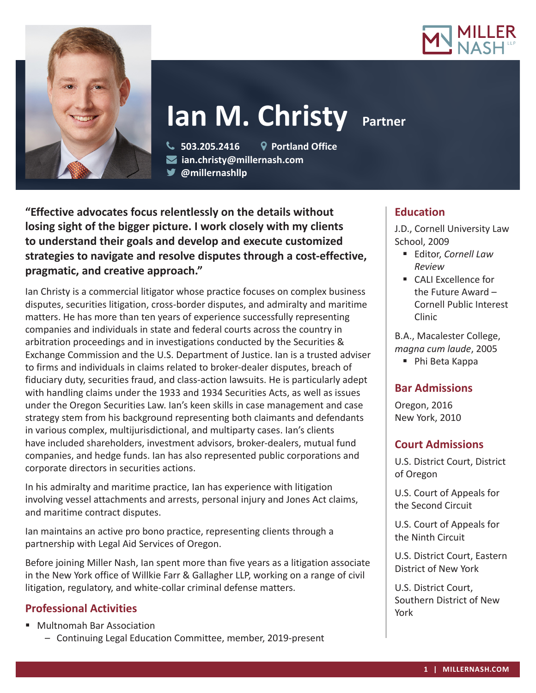



# **Ian M. Christy Partner**

 **503.205.2416 Portland Office ian.christy@millernash.com** 

**@millernashllp** 

**"Effective advocates focus relentlessly on the details without losing sight of the bigger picture. I work closely with my clients to understand their goals and develop and execute customized strategies to navigate and resolve disputes through a cost-effective, pragmatic, and creative approach."**

Ian Christy is a commercial litigator whose practice focuses on complex business disputes, securities litigation, cross-border disputes, and admiralty and maritime matters. He has more than ten years of experience successfully representing companies and individuals in state and federal courts across the country in arbitration proceedings and in investigations conducted by the Securities & Exchange Commission and the U.S. Department of Justice. Ian is a trusted adviser to firms and individuals in claims related to broker-dealer disputes, breach of fiduciary duty, securities fraud, and class-action lawsuits. He is particularly adept with handling claims under the 1933 and 1934 Securities Acts, as well as issues under the Oregon Securities Law. Ian's keen skills in case management and case strategy stem from his background representing both claimants and defendants in various complex, multijurisdictional, and multiparty cases. Ian's clients have included shareholders, investment advisors, broker-dealers, mutual fund companies, and hedge funds. Ian has also represented public corporations and corporate directors in securities actions.

In his admiralty and maritime practice, Ian has experience with litigation involving vessel attachments and arrests, personal injury and Jones Act claims, and maritime contract disputes.

Ian maintains an active pro bono practice, representing clients through a partnership with Legal Aid Services of Oregon.

Before joining Miller Nash, Ian spent more than five years as a litigation associate in the New York office of Willkie Farr & Gallagher LLP, working on a range of civil litigation, regulatory, and white-collar criminal defense matters.

# **Professional Activities**

■ Multnomah Bar Association

– Continuing Legal Education Committee, member, 2019-present

# **Education**

J.D., Cornell University Law School, 2009

- Editor, *Cornell Law Review*
- CALI Excellence for the Future Award – Cornell Public Interest Clinic

B.A., Macalester College, *magna cum laude*, 2005

■ Phi Beta Kappa

# **Bar Admissions**

Oregon, 2016 New York, 2010

# **Court Admissions**

U.S. District Court, District of Oregon

U.S. Court of Appeals for the Second Circuit

U.S. Court of Appeals for the Ninth Circuit

U.S. District Court, Eastern District of New York

U.S. District Court, Southern District of New York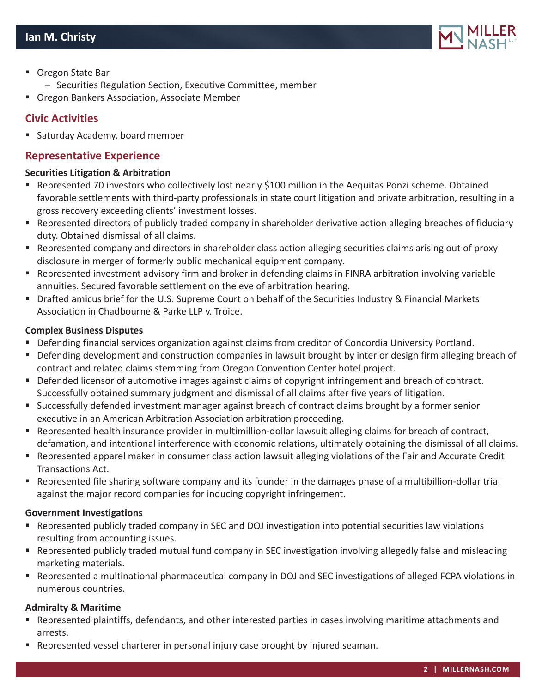

- Oregon State Bar
	- Securities Regulation Section, Executive Committee, member
- **Oregon Bankers Association, Associate Member**

# **Civic Activities**

■ Saturday Academy, board member

## **Representative Experience**

#### **Securities Litigation & Arbitration**

- Represented 70 investors who collectively lost nearly \$100 million in the Aequitas Ponzi scheme. Obtained favorable settlements with third-party professionals in state court litigation and private arbitration, resulting in a gross recovery exceeding clients' investment losses.
- Represented directors of publicly traded company in shareholder derivative action alleging breaches of fiduciary duty. Obtained dismissal of all claims.
- Represented company and directors in shareholder class action alleging securities claims arising out of proxy disclosure in merger of formerly public mechanical equipment company.
- Represented investment advisory firm and broker in defending claims in FINRA arbitration involving variable annuities. Secured favorable settlement on the eve of arbitration hearing.
- Drafted amicus brief for the U.S. Supreme Court on behalf of the Securities Industry & Financial Markets Association in Chadbourne & Parke LLP v. Troice.

#### **Complex Business Disputes**

- Defending financial services organization against claims from creditor of Concordia University Portland.
- Defending development and construction companies in lawsuit brought by interior design firm alleging breach of contract and related claims stemming from Oregon Convention Center hotel project.
- Defended licensor of automotive images against claims of copyright infringement and breach of contract. Successfully obtained summary judgment and dismissal of all claims after five years of litigation.
- Successfully defended investment manager against breach of contract claims brought by a former senior executive in an American Arbitration Association arbitration proceeding.
- Represented health insurance provider in multimillion-dollar lawsuit alleging claims for breach of contract, defamation, and intentional interference with economic relations, ultimately obtaining the dismissal of all claims.
- Represented apparel maker in consumer class action lawsuit alleging violations of the Fair and Accurate Credit Transactions Act.
- Represented file sharing software company and its founder in the damages phase of a multibillion-dollar trial against the major record companies for inducing copyright infringement.

#### **Government Investigations**

- Represented publicly traded company in SEC and DOJ investigation into potential securities law violations resulting from accounting issues.
- Represented publicly traded mutual fund company in SEC investigation involving allegedly false and misleading marketing materials.
- Represented a multinational pharmaceutical company in DOJ and SEC investigations of alleged FCPA violations in numerous countries.

## **Admiralty & Maritime**

- Represented plaintiffs, defendants, and other interested parties in cases involving maritime attachments and arrests.
- **P** Represented vessel charterer in personal injury case brought by injured seaman.